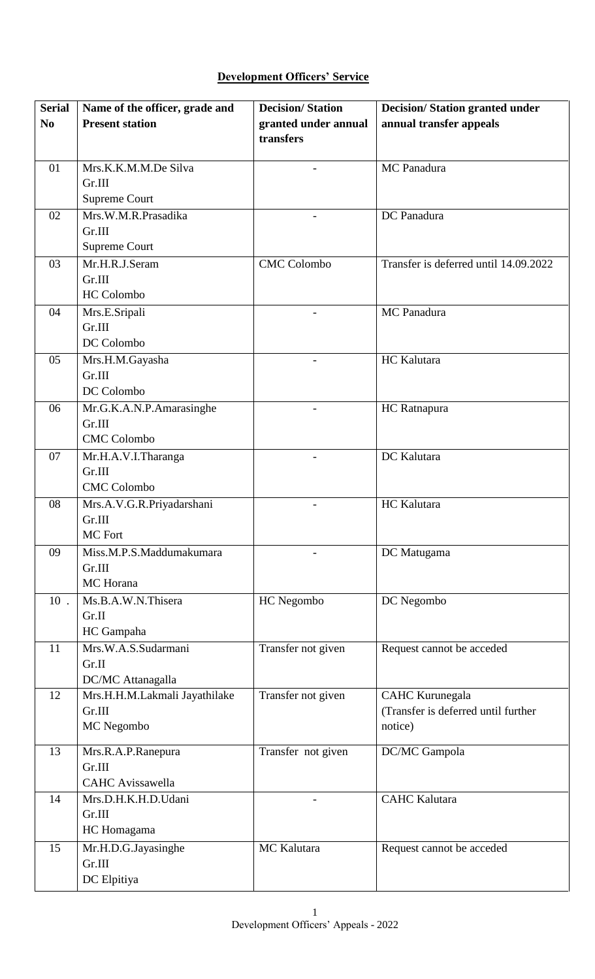## **Development Officers' Service**

| <b>Serial</b>  | Name of the officer, grade and | <b>Decision/Station</b> | <b>Decision/Station granted under</b> |
|----------------|--------------------------------|-------------------------|---------------------------------------|
| N <sub>0</sub> | <b>Present station</b>         | granted under annual    | annual transfer appeals               |
|                |                                | transfers               |                                       |
| 01             | Mrs.K.K.M.M.De Silva           |                         | MC Panadura                           |
|                | Gr.III                         |                         |                                       |
|                | Supreme Court                  |                         |                                       |
| 02             | Mrs.W.M.R.Prasadika            |                         | DC Panadura                           |
|                | Gr.III                         |                         |                                       |
|                | <b>Supreme Court</b>           |                         |                                       |
| 03             | Mr.H.R.J.Seram                 | <b>CMC</b> Colombo      | Transfer is deferred until 14.09.2022 |
|                | Gr.III                         |                         |                                       |
|                | <b>HC</b> Colombo              |                         |                                       |
| 04             | Mrs.E.Sripali                  |                         | MC Panadura                           |
|                | Gr.III                         |                         |                                       |
|                | DC Colombo                     |                         |                                       |
| 05             | Mrs.H.M.Gayasha                |                         | <b>HC</b> Kalutara                    |
|                | Gr.III                         |                         |                                       |
|                | DC Colombo                     |                         |                                       |
| 06             | Mr.G.K.A.N.P.Amarasinghe       |                         | HC Ratnapura                          |
|                | Gr.III                         |                         |                                       |
|                | <b>CMC</b> Colombo             |                         |                                       |
| 07             | Mr.H.A.V.I.Tharanga            |                         | DC Kalutara                           |
|                | Gr.III                         |                         |                                       |
|                | <b>CMC Colombo</b>             |                         |                                       |
| 08             | Mrs.A.V.G.R.Priyadarshani      |                         | HC Kalutara                           |
|                | Gr.III                         |                         |                                       |
|                | MC Fort                        |                         |                                       |
| 09             | Miss.M.P.S.Maddumakumara       |                         | DC Matugama                           |
|                | Gr.III<br>MC Horana            |                         |                                       |
| $10$ .         | Ms.B.A.W.N.Thisera             | HC Negombo              |                                       |
|                | Gr.II                          |                         | DC Negombo                            |
|                | HC Gampaha                     |                         |                                       |
| 11             | Mrs.W.A.S.Sudarmani            | Transfer not given      | Request cannot be acceded             |
|                | Gr.II                          |                         |                                       |
|                | DC/MC Attanagalla              |                         |                                       |
| 12             | Mrs.H.H.M.Lakmali Jayathilake  | Transfer not given      | <b>CAHC</b> Kurunegala                |
|                | Gr.III                         |                         | (Transfer is deferred until further   |
|                | MC Negombo                     |                         | notice)                               |
| 13             |                                |                         |                                       |
|                | Mrs.R.A.P.Ranepura<br>Gr.III   | Transfer not given      | DC/MC Gampola                         |
|                | <b>CAHC</b> Avissawella        |                         |                                       |
| 14             | Mrs.D.H.K.H.D.Udani            |                         | <b>CAHC</b> Kalutara                  |
|                | Gr.III                         |                         |                                       |
|                | HC Homagama                    |                         |                                       |
| 15             | Mr.H.D.G.Jayasinghe            | MC Kalutara             | Request cannot be acceded             |
|                | Gr.III                         |                         |                                       |
|                | DC Elpitiya                    |                         |                                       |
|                |                                |                         |                                       |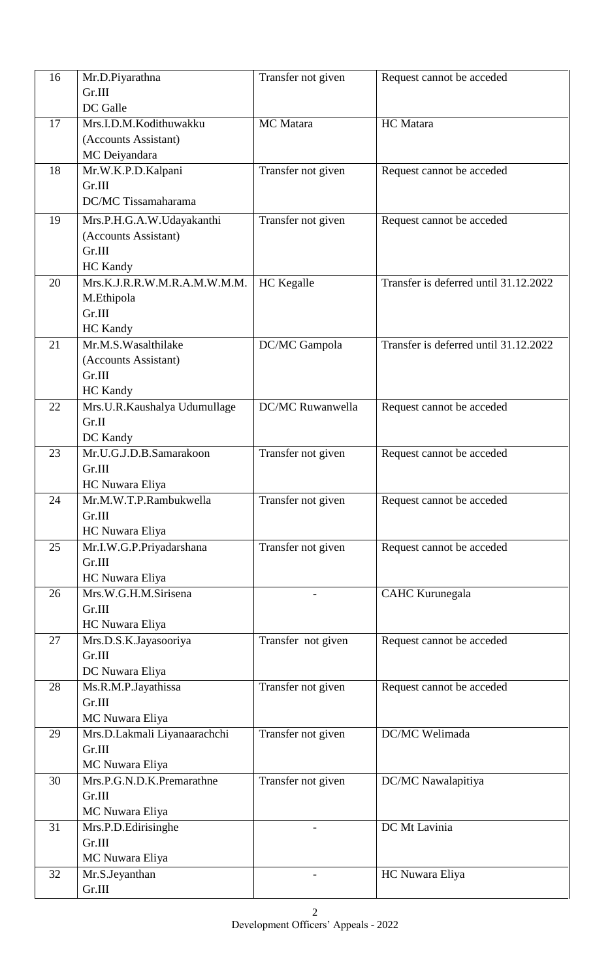| 16 | Mr.D.Piyarathna                    | Transfer not given | Request cannot be acceded             |
|----|------------------------------------|--------------------|---------------------------------------|
|    | Gr.III                             |                    |                                       |
|    | DC Galle                           |                    |                                       |
| 17 | Mrs.I.D.M.Kodithuwakku             | MC Matara          | HC Matara                             |
|    | (Accounts Assistant)               |                    |                                       |
|    | MC Deiyandara                      |                    |                                       |
| 18 | Mr.W.K.P.D.Kalpani                 | Transfer not given | Request cannot be acceded             |
|    | Gr.III                             |                    |                                       |
|    | DC/MC Tissamaharama                |                    |                                       |
| 19 | Mrs.P.H.G.A.W.Udayakanthi          | Transfer not given | Request cannot be acceded             |
|    | (Accounts Assistant)               |                    |                                       |
|    | Gr.III                             |                    |                                       |
|    | HC Kandy                           |                    |                                       |
| 20 | Mrs.K.J.R.R.W.M.R.A.M.W.M.M.       | <b>HC</b> Kegalle  | Transfer is deferred until 31.12.2022 |
|    | M.Ethipola                         |                    |                                       |
|    | Gr.III                             |                    |                                       |
|    | <b>HC</b> Kandy                    |                    |                                       |
| 21 | Mr.M.S. Wasalthilake               | DC/MC Gampola      | Transfer is deferred until 31.12.2022 |
|    | (Accounts Assistant)               |                    |                                       |
|    | Gr.III                             |                    |                                       |
|    | <b>HC</b> Kandy                    |                    |                                       |
| 22 | Mrs.U.R.Kaushalya Udumullage       | DC/MC Ruwanwella   | Request cannot be acceded             |
|    | Gr.II                              |                    |                                       |
|    | DC Kandy                           |                    |                                       |
| 23 | Mr.U.G.J.D.B.Samarakoon            | Transfer not given | Request cannot be acceded             |
|    | Gr.III                             |                    |                                       |
|    | HC Nuwara Eliya                    |                    |                                       |
| 24 | Mr.M.W.T.P.Rambukwella             | Transfer not given | Request cannot be acceded             |
|    | Gr.III<br>HC Nuwara Eliya          |                    |                                       |
| 25 |                                    | Transfer not given |                                       |
|    | Mr.I.W.G.P.Priyadarshana<br>Gr.III |                    | Request cannot be acceded             |
|    | HC Nuwara Eliya                    |                    |                                       |
| 26 | Mrs.W.G.H.M.Sirisena               |                    | <b>CAHC</b> Kurunegala                |
|    | Gr.III                             |                    |                                       |
|    | HC Nuwara Eliya                    |                    |                                       |
| 27 | Mrs.D.S.K.Jayasooriya              | Transfer not given | Request cannot be acceded             |
|    | Gr.III                             |                    |                                       |
|    | DC Nuwara Eliya                    |                    |                                       |
| 28 | Ms.R.M.P.Jayathissa                | Transfer not given | Request cannot be acceded             |
|    | Gr.III                             |                    |                                       |
|    | MC Nuwara Eliya                    |                    |                                       |
| 29 | Mrs.D.Lakmali Liyanaarachchi       | Transfer not given | DC/MC Welimada                        |
|    | Gr.III                             |                    |                                       |
|    | MC Nuwara Eliya                    |                    |                                       |
| 30 | Mrs.P.G.N.D.K.Premarathne          | Transfer not given | DC/MC Nawalapitiya                    |
|    | Gr.III                             |                    |                                       |
|    | MC Nuwara Eliya                    |                    |                                       |
| 31 | Mrs.P.D.Edirisinghe                |                    | DC Mt Lavinia                         |
|    | Gr.III                             |                    |                                       |
|    | MC Nuwara Eliya                    |                    |                                       |
| 32 | Mr.S.Jeyanthan                     |                    | HC Nuwara Eliya                       |
|    | Gr.III                             |                    |                                       |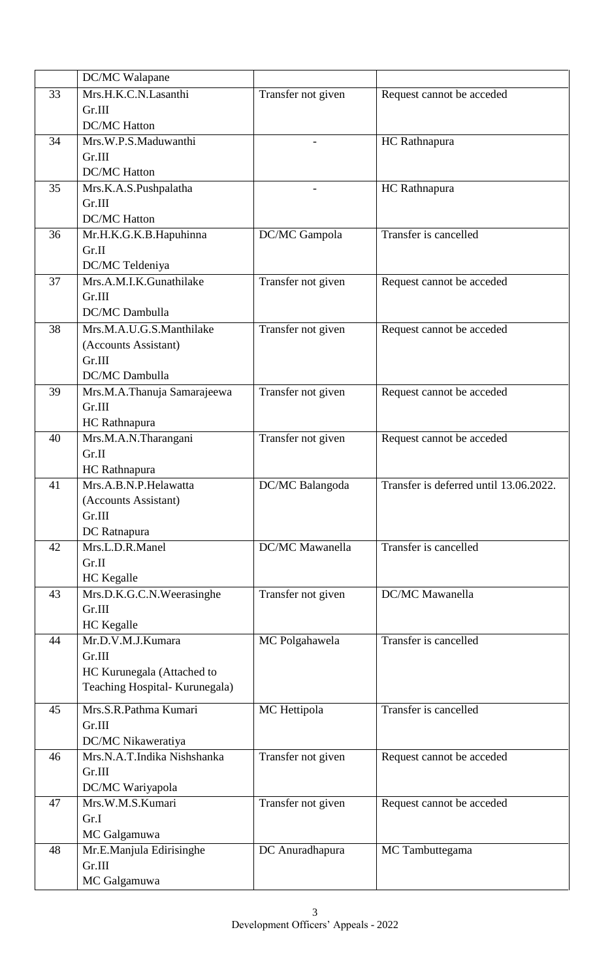|    | DC/MC Walapane                 |                          |                                        |
|----|--------------------------------|--------------------------|----------------------------------------|
| 33 | Mrs.H.K.C.N.Lasanthi           | Transfer not given       | Request cannot be acceded              |
|    | Gr.III                         |                          |                                        |
|    | <b>DC/MC Hatton</b>            |                          |                                        |
| 34 | Mrs.W.P.S.Maduwanthi           | $\overline{\phantom{0}}$ | <b>HC</b> Rathnapura                   |
|    | Gr.III                         |                          |                                        |
|    | <b>DC/MC Hatton</b>            |                          |                                        |
| 35 | Mrs.K.A.S.Pushpalatha          | -                        | <b>HC</b> Rathnapura                   |
|    | Gr.III                         |                          |                                        |
|    | <b>DC/MC Hatton</b>            |                          |                                        |
| 36 | Mr.H.K.G.K.B.Hapuhinna         | DC/MC Gampola            | Transfer is cancelled                  |
|    | Gr.II                          |                          |                                        |
|    | DC/MC Teldeniya                |                          |                                        |
| 37 | Mrs.A.M.I.K.Gunathilake        | Transfer not given       | Request cannot be acceded              |
|    | Gr.III                         |                          |                                        |
|    | DC/MC Dambulla                 |                          |                                        |
| 38 | Mrs.M.A.U.G.S.Manthilake       | Transfer not given       | Request cannot be acceded              |
|    | (Accounts Assistant)           |                          |                                        |
|    | Gr.III                         |                          |                                        |
|    | DC/MC Dambulla                 |                          |                                        |
| 39 | Mrs.M.A.Thanuja Samarajeewa    | Transfer not given       | Request cannot be acceded              |
|    | Gr.III                         |                          |                                        |
|    | <b>HC</b> Rathnapura           |                          |                                        |
| 40 | Mrs.M.A.N.Tharangani           | Transfer not given       | Request cannot be acceded              |
|    | Gr.II                          |                          |                                        |
|    | HC Rathnapura                  |                          |                                        |
| 41 | Mrs.A.B.N.P.Helawatta          | DC/MC Balangoda          | Transfer is deferred until 13.06.2022. |
|    | (Accounts Assistant)           |                          |                                        |
|    | Gr.III                         |                          |                                        |
|    | DC Ratnapura                   |                          |                                        |
| 42 | Mrs.L.D.R.Manel                | DC/MC Mawanella          | Transfer is cancelled                  |
|    | Gr.II                          |                          |                                        |
|    | <b>HC</b> Kegalle              |                          |                                        |
| 43 | Mrs.D.K.G.C.N.Weerasinghe      | Transfer not given       | DC/MC Mawanella                        |
|    | Gr.III                         |                          |                                        |
|    | <b>HC</b> Kegalle              |                          |                                        |
| 44 | Mr.D.V.M.J.Kumara              | MC Polgahawela           | Transfer is cancelled                  |
|    | Gr.III                         |                          |                                        |
|    | HC Kurunegala (Attached to     |                          |                                        |
|    | Teaching Hospital- Kurunegala) |                          |                                        |
| 45 | Mrs.S.R.Pathma Kumari          | MC Hettipola             | Transfer is cancelled                  |
|    | Gr.III                         |                          |                                        |
|    | DC/MC Nikaweratiya             |                          |                                        |
| 46 | Mrs.N.A.T.Indika Nishshanka    | Transfer not given       | Request cannot be acceded              |
|    | Gr.III                         |                          |                                        |
|    | DC/MC Wariyapola               |                          |                                        |
| 47 | Mrs.W.M.S.Kumari               | Transfer not given       | Request cannot be acceded              |
|    | Gr.I                           |                          |                                        |
|    | MC Galgamuwa                   |                          |                                        |
| 48 | Mr.E.Manjula Edirisinghe       | DC Anuradhapura          | MC Tambuttegama                        |
|    | Gr.III                         |                          |                                        |
|    | MC Galgamuwa                   |                          |                                        |
|    |                                |                          |                                        |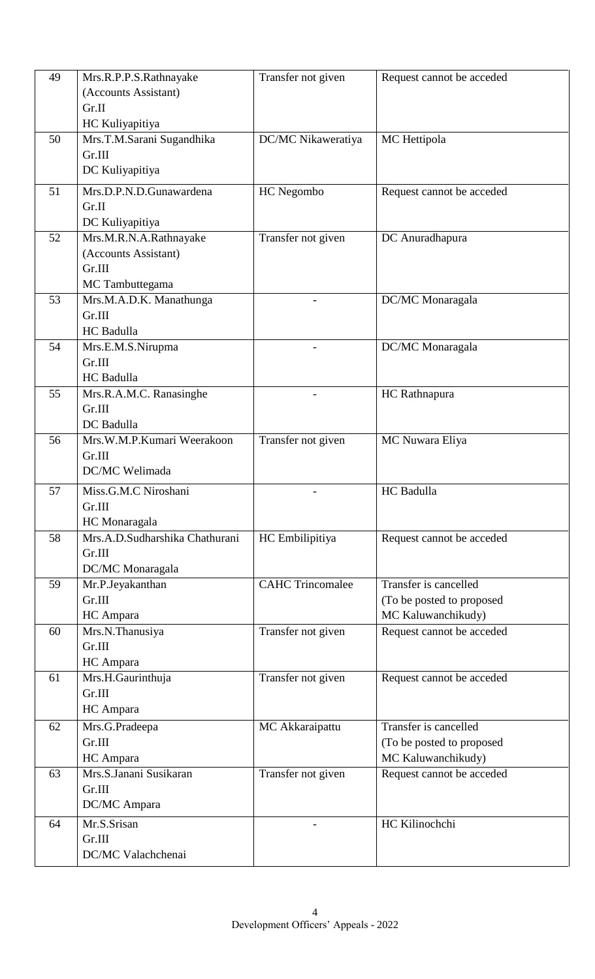| 49 | Mrs.R.P.P.S.Rathnayake         | Transfer not given      | Request cannot be acceded |
|----|--------------------------------|-------------------------|---------------------------|
|    | (Accounts Assistant)           |                         |                           |
|    | Gr.II                          |                         |                           |
|    | HC Kuliyapitiya                |                         |                           |
| 50 | Mrs.T.M.Sarani Sugandhika      | DC/MC Nikaweratiya      | MC Hettipola              |
|    | Gr.III                         |                         |                           |
|    | DC Kuliyapitiya                |                         |                           |
| 51 | Mrs.D.P.N.D.Gunawardena        | HC Negombo              | Request cannot be acceded |
|    | Gr.II                          |                         |                           |
|    | DC Kuliyapitiya                |                         |                           |
| 52 | Mrs.M.R.N.A.Rathnayake         | Transfer not given      | DC Anuradhapura           |
|    | (Accounts Assistant)           |                         |                           |
|    | Gr.III                         |                         |                           |
|    | MC Tambuttegama                |                         |                           |
| 53 | Mrs.M.A.D.K. Manathunga        |                         | DC/MC Monaragala          |
|    | Gr.III                         |                         |                           |
|    | HC Badulla                     |                         |                           |
| 54 | Mrs.E.M.S.Nirupma              |                         | DC/MC Monaragala          |
|    | Gr.III                         |                         |                           |
|    | HC Badulla                     |                         |                           |
| 55 | Mrs.R.A.M.C. Ranasinghe        |                         | HC Rathnapura             |
|    | Gr.III                         |                         |                           |
|    | DC Badulla                     |                         |                           |
| 56 | Mrs.W.M.P.Kumari Weerakoon     | Transfer not given      | MC Nuwara Eliya           |
|    | Gr.III                         |                         |                           |
|    | DC/MC Welimada                 |                         |                           |
| 57 | Miss.G.M.C Niroshani           |                         | <b>HC</b> Badulla         |
|    | Gr.III                         |                         |                           |
|    | HC Monaragala                  |                         |                           |
| 58 | Mrs.A.D.Sudharshika Chathurani | HC Embilipitiya         | Request cannot be acceded |
|    | Gr.III                         |                         |                           |
|    | DC/MC Monaragala               |                         |                           |
| 59 | Mr.P.Jeyakanthan               | <b>CAHC Trincomalee</b> | Transfer is cancelled     |
|    | Gr.III                         |                         | (To be posted to proposed |
|    | HC Ampara                      |                         | MC Kaluwanchikudy)        |
| 60 | Mrs.N.Thanusiya                | Transfer not given      | Request cannot be acceded |
|    | Gr.III                         |                         |                           |
|    | HC Ampara                      |                         |                           |
| 61 | Mrs.H.Gaurinthuja              | Transfer not given      | Request cannot be acceded |
|    | Gr.III                         |                         |                           |
|    | HC Ampara                      |                         |                           |
| 62 | Mrs.G.Pradeepa                 | MC Akkaraipattu         | Transfer is cancelled     |
|    | Gr.III                         |                         | (To be posted to proposed |
|    | HC Ampara                      |                         | MC Kaluwanchikudy)        |
| 63 | Mrs.S.Janani Susikaran         | Transfer not given      | Request cannot be acceded |
|    | Gr.III                         |                         |                           |
|    | DC/MC Ampara                   |                         |                           |
| 64 | Mr.S.Srisan                    |                         | HC Kilinochchi            |
|    | Gr.III                         |                         |                           |
|    | DC/MC Valachchenai             |                         |                           |